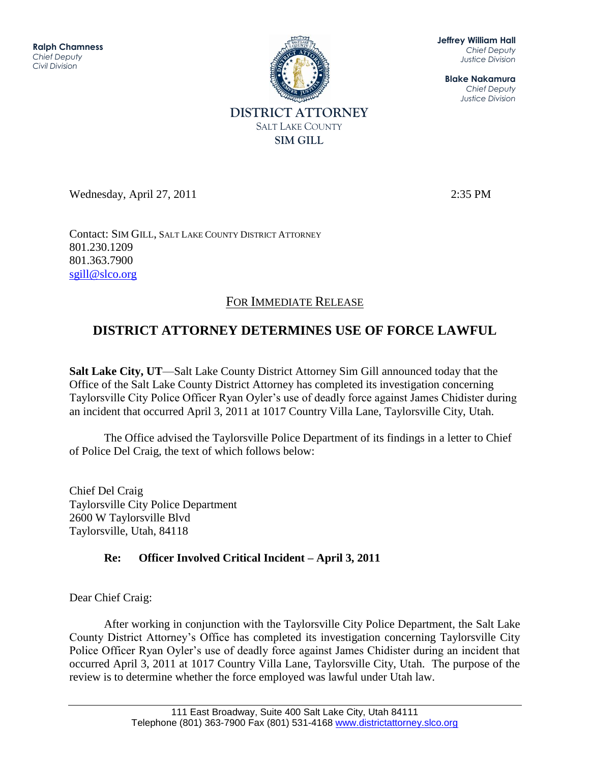11111000<br>hz Jeffrey W. Hall **Ralph Chamness**  *Chief Deputy Civil Division*



Wednesday, April 27, 2011 2:35 PM

**Jeffrey William Hall** *Chief Deputy Justice Division*

**Blake Nakamura** *Chief Deputy Justice Division*

Contact: SIM GILL, SALT LAKE COUNTY DISTRICT ATTORNEY 801.230.1209 801.363.7900 [sgill@slco.org](mailto:sgill@slco.org)

## FOR IMMEDIATE RELEASE

## **DISTRICT ATTORNEY DETERMINES USE OF FORCE LAWFUL**

**Salt Lake City, UT**—Salt Lake County District Attorney Sim Gill announced today that the Office of the Salt Lake County District Attorney has completed its investigation concerning Taylorsville City Police Officer Ryan Oyler's use of deadly force against James Chidister during an incident that occurred April 3, 2011 at 1017 Country Villa Lane, Taylorsville City, Utah.

The Office advised the Taylorsville Police Department of its findings in a letter to Chief of Police Del Craig, the text of which follows below:

Chief Del Craig Taylorsville City Police Department 2600 W Taylorsville Blvd Taylorsville, Utah, 84118

## **Re: Officer Involved Critical Incident – April 3, 2011**

Dear Chief Craig:

After working in conjunction with the Taylorsville City Police Department, the Salt Lake County District Attorney's Office has completed its investigation concerning Taylorsville City Police Officer Ryan Oyler's use of deadly force against James Chidister during an incident that occurred April 3, 2011 at 1017 Country Villa Lane, Taylorsville City, Utah. The purpose of the review is to determine whether the force employed was lawful under Utah law.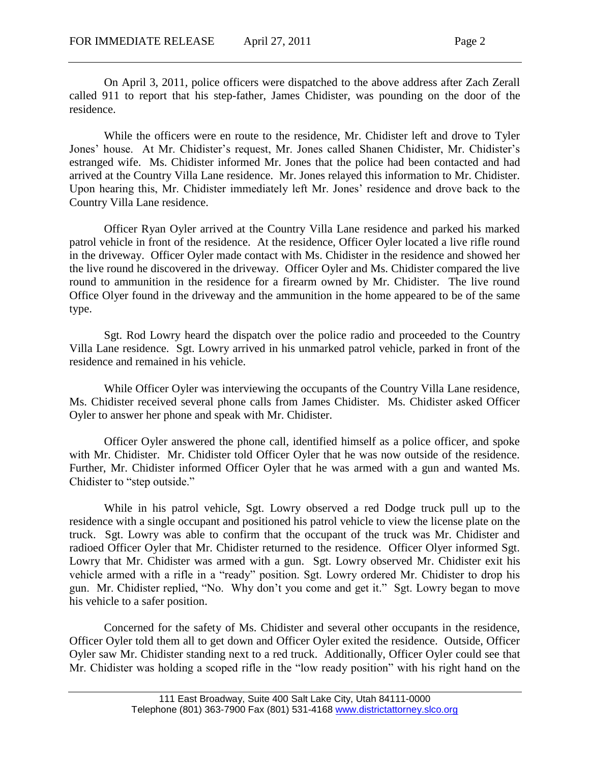On April 3, 2011, police officers were dispatched to the above address after Zach Zerall called 911 to report that his step-father, James Chidister, was pounding on the door of the residence.

While the officers were en route to the residence, Mr. Chidister left and drove to Tyler Jones' house. At Mr. Chidister's request, Mr. Jones called Shanen Chidister, Mr. Chidister's estranged wife. Ms. Chidister informed Mr. Jones that the police had been contacted and had arrived at the Country Villa Lane residence. Mr. Jones relayed this information to Mr. Chidister. Upon hearing this, Mr. Chidister immediately left Mr. Jones' residence and drove back to the Country Villa Lane residence.

Officer Ryan Oyler arrived at the Country Villa Lane residence and parked his marked patrol vehicle in front of the residence. At the residence, Officer Oyler located a live rifle round in the driveway. Officer Oyler made contact with Ms. Chidister in the residence and showed her the live round he discovered in the driveway. Officer Oyler and Ms. Chidister compared the live round to ammunition in the residence for a firearm owned by Mr. Chidister. The live round Office Olyer found in the driveway and the ammunition in the home appeared to be of the same type.

Sgt. Rod Lowry heard the dispatch over the police radio and proceeded to the Country Villa Lane residence. Sgt. Lowry arrived in his unmarked patrol vehicle, parked in front of the residence and remained in his vehicle.

While Officer Oyler was interviewing the occupants of the Country Villa Lane residence, Ms. Chidister received several phone calls from James Chidister. Ms. Chidister asked Officer Oyler to answer her phone and speak with Mr. Chidister.

Officer Oyler answered the phone call, identified himself as a police officer, and spoke with Mr. Chidister. Mr. Chidister told Officer Oyler that he was now outside of the residence. Further, Mr. Chidister informed Officer Oyler that he was armed with a gun and wanted Ms. Chidister to "step outside."

While in his patrol vehicle, Sgt. Lowry observed a red Dodge truck pull up to the residence with a single occupant and positioned his patrol vehicle to view the license plate on the truck. Sgt. Lowry was able to confirm that the occupant of the truck was Mr. Chidister and radioed Officer Oyler that Mr. Chidister returned to the residence. Officer Olyer informed Sgt. Lowry that Mr. Chidister was armed with a gun. Sgt. Lowry observed Mr. Chidister exit his vehicle armed with a rifle in a "ready" position. Sgt. Lowry ordered Mr. Chidister to drop his gun. Mr. Chidister replied, "No. Why don't you come and get it." Sgt. Lowry began to move his vehicle to a safer position.

Concerned for the safety of Ms. Chidister and several other occupants in the residence, Officer Oyler told them all to get down and Officer Oyler exited the residence. Outside, Officer Oyler saw Mr. Chidister standing next to a red truck. Additionally, Officer Oyler could see that Mr. Chidister was holding a scoped rifle in the "low ready position" with his right hand on the